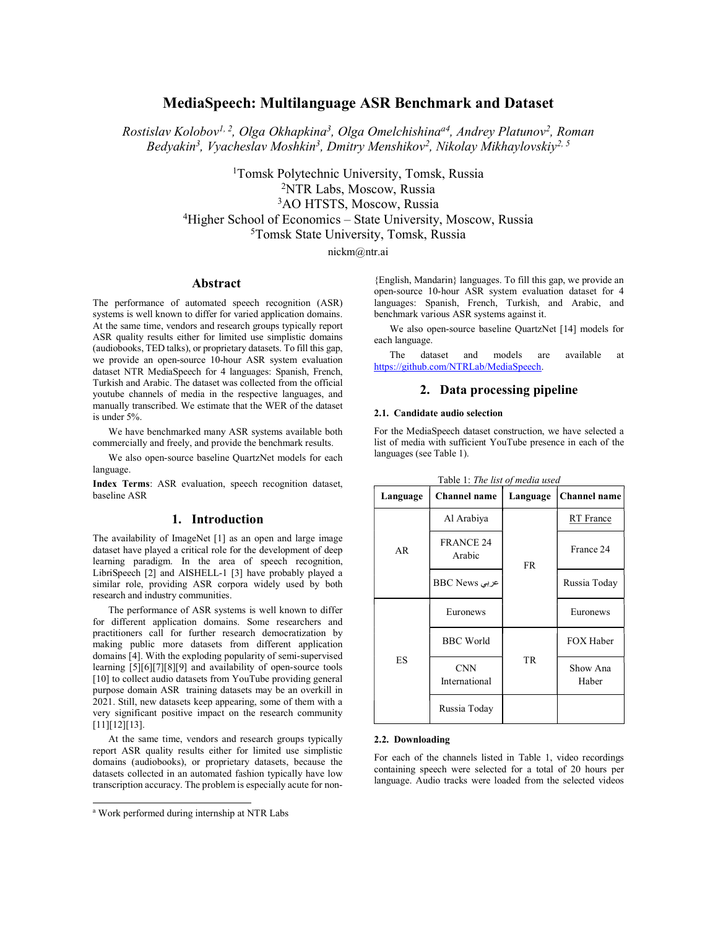# MediaSpeech: Multilanguage ASR Benchmark and Dataset

Rostislav Kolobov<sup>1, 2</sup>, Olga Okhapkina<sup>3</sup>, Olga Omelchishina<sup>a4</sup>, Andrey Platunov<sup>2</sup>, Roman Bedyakin<sup>3</sup>, Vyacheslav Moshkin<sup>3</sup>, Dmitry Menshikov<sup>2</sup>, Nikolay Mikhaylovskiy<sup>2, 5</sup>

> Tomsk Polytechnic University, Tomsk, Russia NTR Labs, Moscow, Russia AO HTSTS, Moscow, Russia Higher School of Economics – State University, Moscow, Russia Tomsk State University, Tomsk, Russia

nickm@ntr.ai

## Abstract

The performance of automated speech recognition (ASR) systems is well known to differ for varied application domains. At the same time, vendors and research groups typically report ASR quality results either for limited use simplistic domains (audiobooks, TED talks), or proprietary datasets. To fill this gap, we provide an open-source 10-hour ASR system evaluation dataset NTR MediaSpeech for 4 languages: Spanish, French, Turkish and Arabic. The dataset was collected from the official youtube channels of media in the respective languages, and manually transcribed. We estimate that the WER of the dataset is under 5%.

We have benchmarked many ASR systems available both commercially and freely, and provide the benchmark results.

We also open-source baseline QuartzNet models for each language.

Index Terms: ASR evaluation, speech recognition dataset, baseline ASR

## 1. Introduction

The availability of ImageNet [1] as an open and large image dataset have played a critical role for the development of deep learning paradigm. In the area of speech recognition, LibriSpeech [2] and AISHELL-1 [3] have probably played a similar role, providing ASR corpora widely used by both research and industry communities.

The performance of ASR systems is well known to differ for different application domains. Some researchers and practitioners call for further research democratization by making public more datasets from different application domains [4]. With the exploding popularity of semi-supervised learning [5][6][7][8][9] and availability of open-source tools [10] to collect audio datasets from YouTube providing general purpose domain ASR training datasets may be an overkill in 2021. Still, new datasets keep appearing, some of them with a very significant positive impact on the research community [11][12][13].

At the same time, vendors and research groups typically report ASR quality results either for limited use simplistic domains (audiobooks), or proprietary datasets, because the datasets collected in an automated fashion typically have low transcription accuracy. The problem is especially acute for non-

j

{English, Mandarin} languages. To fill this gap, we provide an open-source 10-hour ASR system evaluation dataset for 4 languages: Spanish, French, Turkish, and Arabic, and benchmark various ASR systems against it.

We also open-source baseline QuartzNet [14] models for each language.

The dataset and models are available at https://github.com/NTRLab/MediaSpeech.

## 2. Data processing pipeline

## 2.1. Candidate audio selection

For the MediaSpeech dataset construction, we have selected a list of media with sufficient YouTube presence in each of the languages (see Table 1).

| Language | <b>Channel name</b>         | Language  | Channel name      |
|----------|-----------------------------|-----------|-------------------|
| AR       | Al Arabiya                  |           | RT France         |
|          | <b>FRANCE 24</b><br>Arabic  | <b>FR</b> | France 24         |
|          | BBC News                    |           | Russia Today      |
| ES       | Euronews                    |           | Euronews          |
|          | <b>BBC</b> World            |           | FOX Haber         |
|          | <b>CNN</b><br>International | TR        | Show Ana<br>Haber |
|          | Russia Today                |           |                   |

# Table 1: The list of media used

#### 2.2. Downloading

For each of the channels listed in Table 1, video recordings containing speech were selected for a total of 20 hours per language. Audio tracks were loaded from the selected videos

a Work performed during internship at NTR Labs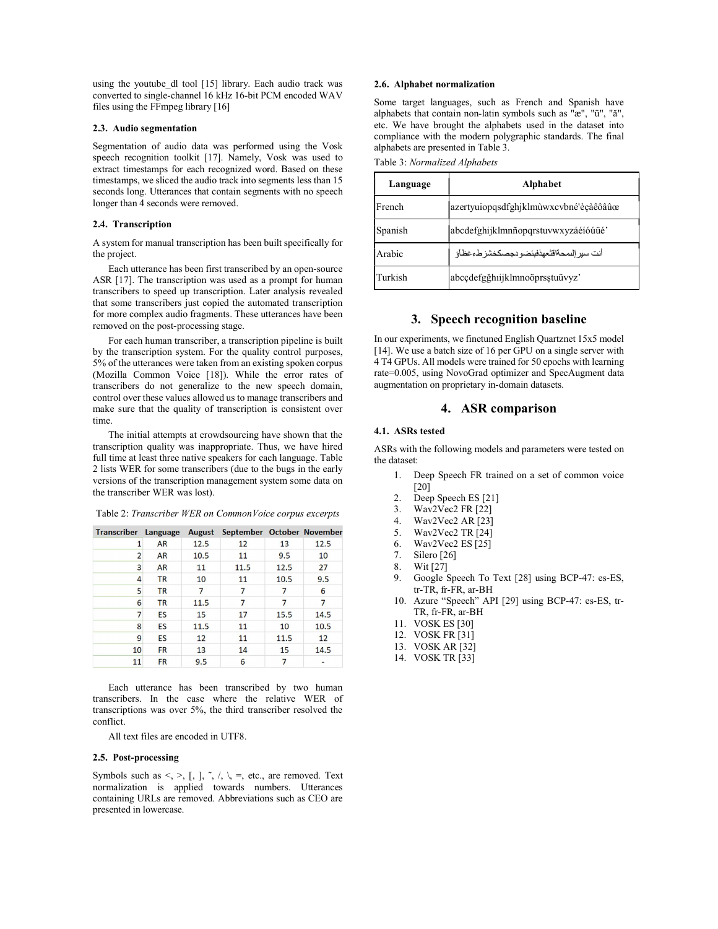using the youtube dl tool [15] library. Each audio track was converted to single-channel 16 kHz 16-bit PCM encoded WAV files using the FFmpeg library [16]

## 2.3. Audio segmentation

Segmentation of audio data was performed using the Vosk speech recognition toolkit [17]. Namely, Vosk was used to extract timestamps for each recognized word. Based on these timestamps, we sliced the audio track into segments less than 15 seconds long. Utterances that contain segments with no speech longer than 4 seconds were removed.

## 2.4. Transcription

A system for manual transcription has been built specifically for the project.

Each utterance has been first transcribed by an open-source ASR [17]. The transcription was used as a prompt for human transcribers to speed up transcription. Later analysis revealed that some transcribers just copied the automated transcription for more complex audio fragments. These utterances have been removed on the post-processing stage.

For each human transcriber, a transcription pipeline is built by the transcription system. For the quality control purposes, 5% of the utterances were taken from an existing spoken corpus (Mozilla Common Voice [18]). While the error rates of transcribers do not generalize to the new speech domain, control over these values allowed us to manage transcribers and make sure that the quality of transcription is consistent over time.

The initial attempts at crowdsourcing have shown that the transcription quality was inappropriate. Thus, we have hired full time at least three native speakers for each language. Table 2 lists WER for some transcribers (due to the bugs in the early versions of the transcription management system some data on the transcriber WER was lost).

| <b>Transcriber Language</b> |           | August | September October November |      |      |
|-----------------------------|-----------|--------|----------------------------|------|------|
| 1                           | AR        | 12.5   | 12                         | 13   | 12.5 |
| $\overline{2}$              | <b>AR</b> | 10.5   | 11                         | 9.5  | 10   |
| 3                           | <b>AR</b> | 11     | 11.5                       | 12.5 | 27   |
| 4                           | <b>TR</b> | 10     | 11                         | 10.5 | 9.5  |
| 5                           | <b>TR</b> | 7      | 7                          | 7    | 6    |
| 6                           | <b>TR</b> | 11.5   | 7                          | 7    | 7    |
| 7                           | ES        | 15     | 17                         | 15.5 | 14.5 |
| 8                           | ES        | 11.5   | 11                         | 10   | 10.5 |
| 9                           | ES        | 12     | 11                         | 11.5 | 12   |
| 10                          | <b>FR</b> | 13     | 14                         | 15   | 14.5 |
| 11                          | <b>FR</b> | 9.5    | 6                          | 7    |      |

Table 2: Transcriber WER on CommonVoice corpus excerpts

Each utterance has been transcribed by two human transcribers. In the case where the relative WER of transcriptions was over 5%, the third transcriber resolved the conflict.

All text files are encoded in UTF8.

#### 2.5. Post-processing

Symbols such as  $\lt, \gt, [$ ,  $], \tilde{\phantom{a}}, \land \$ ,  $\gt,$ , etc., are removed. Text normalization is applied towards numbers. Utterances containing URLs are removed. Abbreviations such as CEO are presented in lowercase.

#### 2.6. Alphabet normalization

Some target languages, such as French and Spanish have alphabets that contain non-latin symbols such as "æ", "ü", "ă", etc. We have brought the alphabets used in the dataset into compliance with the modern polygraphic standards. The final alphabets are presented in Table 3.

| Language | <b>Alphabet</b>                          |  |
|----------|------------------------------------------|--|
| French   | azertyuiopqsdfghjklmùwxcvbné'èçàêôâûœ    |  |
| Spanish  | abcdefghijklmnñopqrstuvwxyzáéíóúüé       |  |
| Arabic   | أنت سير الممحةاقتعهذفبئضو دجصكخشز طءغظأؤ |  |
| Turkish  | abcçdefgğhıijklmnoöprsştuüvyz'           |  |

# 3. Speech recognition baseline

In our experiments, we finetuned English Quartznet 15x5 model [14]. We use a batch size of 16 per GPU on a single server with 4 T4 GPUs. All models were trained for 50 epochs with learning rate=0.005, using NovoGrad optimizer and SpecAugment data augmentation on proprietary in-domain datasets.

## 4. ASR comparison

## 4.1. ASRs tested

ASRs with the following models and parameters were tested on the dataset:

- 1. Deep Speech FR trained on a set of common voice [20]
- 2. Deep Speech ES [21]
- 
- 3. Wav2Vec2 FR [22]<br>4. Wav2Vec2 AR [23] Wav2Vec2 AR [23]
- 5. Wav2Vec2 TR [24]
- 6. Wav2Vec2 ES [25]
- 7. Silero [26]
- 8. Wit [27]
- 9. Google Speech To Text [28] using BCP-47: es-ES, tr-TR, fr-FR, ar-BH
- 10. Azure "Speech" API [29] using BCP-47: es-ES, tr-TR, fr-FR, ar-BH
- 11. VOSK ES [30]
- 12. VOSK FR [31]
- 13. VOSK AR [32]
- 14. VOSK TR [33]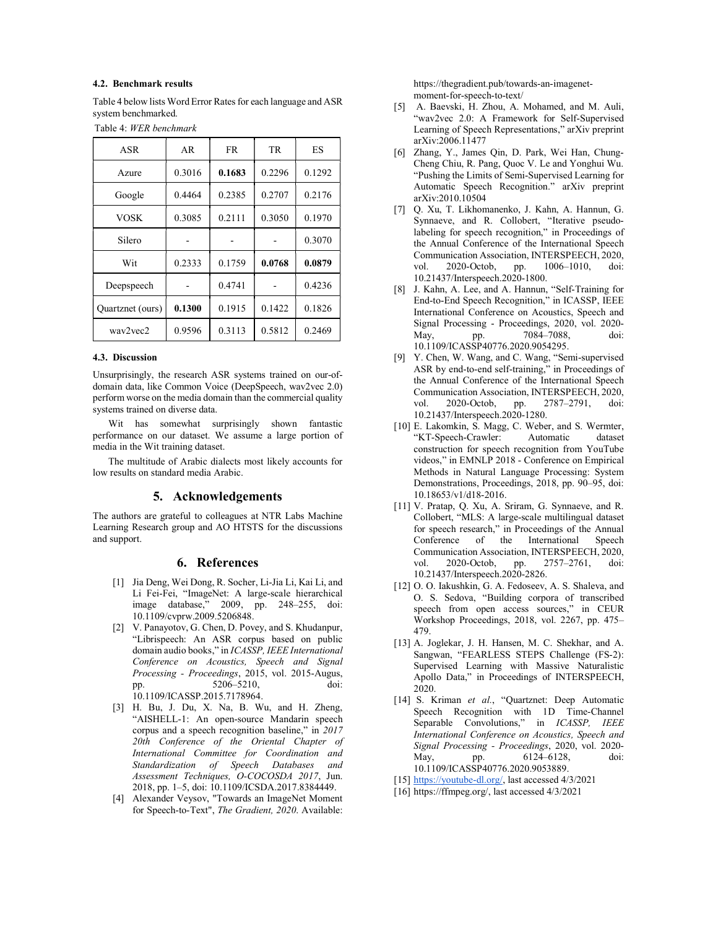## 4.2. Benchmark results

Table 4 below lists Word Error Rates for each language and ASR system benchmarked.

| Table 4: WER benchmark |  |
|------------------------|--|
|------------------------|--|

| <b>ASR</b>       | AR     | FR.    | TR     | ES     |
|------------------|--------|--------|--------|--------|
| Azure            | 0.3016 | 0.1683 | 0.2296 | 0.1292 |
| Google           | 0.4464 | 0.2385 | 0.2707 | 0.2176 |
| VOSK             | 0.3085 | 0.2111 | 0.3050 | 0.1970 |
| Silero           |        |        |        | 0.3070 |
| Wit              | 0.2333 | 0.1759 | 0.0768 | 0.0879 |
| Deepspeech       |        | 0.4741 |        | 0.4236 |
| Quartznet (ours) | 0.1300 | 0.1915 | 0.1422 | 0.1826 |
| way2yec2         | 0.9596 | 0.3113 | 0.5812 | 0.2469 |

### 4.3. Discussion

Unsurprisingly, the research ASR systems trained on our-ofdomain data, like Common Voice (DeepSpeech, wav2vec 2.0) perform worse on the media domain than the commercial quality systems trained on diverse data.

Wit has somewhat surprisingly shown fantastic performance on our dataset. We assume a large portion of media in the Wit training dataset.

The multitude of Arabic dialects most likely accounts for low results on standard media Arabic.

## 5. Acknowledgements

The authors are grateful to colleagues at NTR Labs Machine Learning Research group and AO HTSTS for the discussions and support.

## 6. References

- [1] Jia Deng, Wei Dong, R. Socher, Li-Jia Li, Kai Li, and Li Fei-Fei, "ImageNet: A large-scale hierarchical image database," 2009, pp. 248–255, doi: 10.1109/cvprw.2009.5206848.
- [2] V. Panayotov, G. Chen, D. Povey, and S. Khudanpur, "Librispeech: An ASR corpus based on public domain audio books," in ICASSP, IEEE International Conference on Acoustics, Speech and Signal Processing - Proceedings, 2015, vol. 2015-Augus, pp. 5206–5210, doi: 10.1109/ICASSP.2015.7178964.
- [3] H. Bu, J. Du, X. Na, B. Wu, and H. Zheng, "AISHELL-1: An open-source Mandarin speech corpus and a speech recognition baseline," in 2017 20th Conference of the Oriental Chapter of International Committee for Coordination and Standardization of Speech Databases and Assessment Techniques, O-COCOSDA 2017, Jun. 2018, pp. 1–5, doi: 10.1109/ICSDA.2017.8384449.
- [4] Alexander Veysov, "Towards an ImageNet Moment for Speech-to-Text", The Gradient, 2020. Available:

https://thegradient.pub/towards-an-imagenetmoment-for-speech-to-text/

- [5] A. Baevski, H. Zhou, A. Mohamed, and M. Auli, "wav2vec 2.0: A Framework for Self-Supervised Learning of Speech Representations," arXiv preprint arXiv:2006.11477
- [6] Zhang, Y., James Qin, D. Park, Wei Han, Chung-Cheng Chiu, R. Pang, Quoc V. Le and Yonghui Wu. "Pushing the Limits of Semi-Supervised Learning for Automatic Speech Recognition." arXiv preprint arXiv:2010.10504
- [7] Q. Xu, T. Likhomanenko, J. Kahn, A. Hannun, G. Synnaeve, and R. Collobert, "Iterative pseudolabeling for speech recognition," in Proceedings of the Annual Conference of the International Speech Communication Association, INTERSPEECH, 2020, vol. 2020-Octob, pp. 1006–1010, doi: 10.21437/Interspeech.2020-1800.
- [8] J. Kahn, A. Lee, and A. Hannun, "Self-Training for End-to-End Speech Recognition," in ICASSP, IEEE International Conference on Acoustics, Speech and Signal Processing - Proceedings, 2020, vol. 2020- May, pp. 7084–7088, doi: 10.1109/ICASSP40776.2020.9054295.
- [9] Y. Chen, W. Wang, and C. Wang, "Semi-supervised ASR by end-to-end self-training," in Proceedings of the Annual Conference of the International Speech Communication Association, INTERSPEECH, 2020, vol. 2020-Octob, pp. 2787-2791, doi: vol. 2020-Octob, pp. 2787–2791, doi: 10.21437/Interspeech.2020-1280.
- [10] E. Lakomkin, S. Magg, C. Weber, and S. Wermter, "KT-Speech-Crawler: Automatic dataset construction for speech recognition from YouTube videos," in EMNLP 2018 - Conference on Empirical Methods in Natural Language Processing: System Demonstrations, Proceedings, 2018, pp. 90–95, doi: 10.18653/v1/d18-2016.
- [11] V. Pratap, Q. Xu, A. Sriram, G. Synnaeve, and R. Collobert, "MLS: A large-scale multilingual dataset for speech research," in Proceedings of the Annual Conference of the International Speech Communication Association, INTERSPEECH, 2020, vol. 2020-Octob, pp. 2757–2761, 10.21437/Interspeech.2020-2826.
- [12] O. O. Iakushkin, G. A. Fedoseev, A. S. Shaleva, and O. S. Sedova, "Building corpora of transcribed speech from open access sources," in CEUR Workshop Proceedings, 2018, vol. 2267, pp. 475– 479.
- [13] A. Joglekar, J. H. Hansen, M. C. Shekhar, and A. Sangwan, "FEARLESS STEPS Challenge (FS-2): Supervised Learning with Massive Naturalistic Apollo Data," in Proceedings of INTERSPEECH, 2020.
- [14] S. Kriman et al., "Quartznet: Deep Automatic Speech Recognition with 1D Time-Channel Separable Convolutions," in ICASSP, IEEE International Conference on Acoustics, Speech and Signal Processing - Proceedings, 2020, vol. 2020- May, pp. 6124–6128, doi: 10.1109/ICASSP40776.2020.9053889.
- [15] https://youtube-dl.org/, last accessed 4/3/2021
- [16] https://ffmpeg.org/, last accessed 4/3/2021